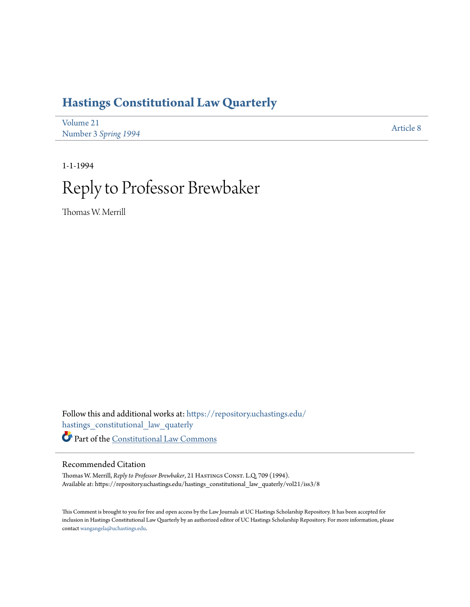# **[Hastings Constitutional Law Quarterly](https://repository.uchastings.edu/hastings_constitutional_law_quaterly?utm_source=repository.uchastings.edu%2Fhastings_constitutional_law_quaterly%2Fvol21%2Fiss3%2F8&utm_medium=PDF&utm_campaign=PDFCoverPages)**

| Volume 21            | Article 8 |
|----------------------|-----------|
| Number 3 Spring 1994 |           |

1-1-1994 Reply to Professor Brewbaker

Thomas W. Merrill

Follow this and additional works at: [https://repository.uchastings.edu/](https://repository.uchastings.edu/hastings_constitutional_law_quaterly?utm_source=repository.uchastings.edu%2Fhastings_constitutional_law_quaterly%2Fvol21%2Fiss3%2F8&utm_medium=PDF&utm_campaign=PDFCoverPages) [hastings\\_constitutional\\_law\\_quaterly](https://repository.uchastings.edu/hastings_constitutional_law_quaterly?utm_source=repository.uchastings.edu%2Fhastings_constitutional_law_quaterly%2Fvol21%2Fiss3%2F8&utm_medium=PDF&utm_campaign=PDFCoverPages) Part of the [Constitutional Law Commons](http://network.bepress.com/hgg/discipline/589?utm_source=repository.uchastings.edu%2Fhastings_constitutional_law_quaterly%2Fvol21%2Fiss3%2F8&utm_medium=PDF&utm_campaign=PDFCoverPages)

#### Recommended Citation

Thomas W. Merrill, *Reply to Professor Brewbaker*, 21 HASTINGS CONST. L.Q. 709 (1994). Available at: https://repository.uchastings.edu/hastings\_constitutional\_law\_quaterly/vol21/iss3/8

This Comment is brought to you for free and open access by the Law Journals at UC Hastings Scholarship Repository. It has been accepted for inclusion in Hastings Constitutional Law Quarterly by an authorized editor of UC Hastings Scholarship Repository. For more information, please contact [wangangela@uchastings.edu](mailto:wangangela@uchastings.edu).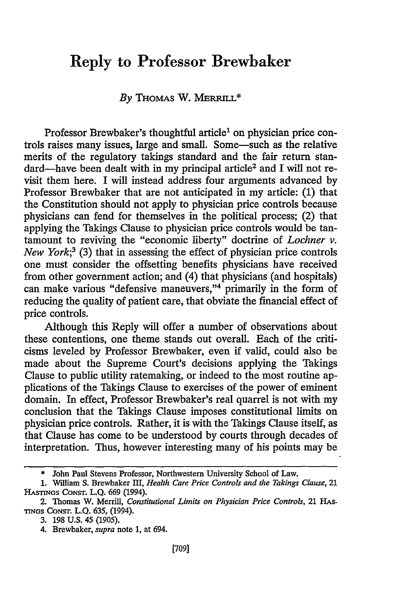## Reply to Professor Brewbaker

#### *By* THOMAS W. MERRILL\*

Professor Brewbaker's thoughtful article<sup>1</sup> on physician price controis raises many issues, large and small. Some-such as the relative merits of the regulatory takings standard and the fair return standard-have been dealt with in my principal article<sup>2</sup> and I will not revisit them here. I will instead address four arguments advanced by Professor Brewbaker that are not anticipated in my article: (1) that the Constitution should not apply to physician price controls because physicians can fend for themselves in the political process; (2) that applying the Takings Clause to physician price controls would be tantamount to reviving the "economic liberty" doctrine of *Lochner v. New York;3* (3) that in assessing the effect of physician price controls one must consider the offsetting benefits physicians have received from other government action; and (4) that physicians (and hospitals) can make various "defensive maneuvers,"4 primarily in the form of reducing the quality of patient care, that obviate the financial effect of price controls.

Although this Reply will offer a number of observations about these contentions, one theme stands out overall. Each of the criticisms leveled by Professor Brewbaker, even if valid, could also be made about the Supreme Court's decisions applying the Takings Clause to public utility ratemaking, or indeed to the most routine applications of the Takings Clause to exercises of the power of eminent domain. In effect, Professor Brewbaker's real quarrel is not with my conclusion that the Takings Clause imposes constitutional limits on physician price controls. Rather, it is with the Takings Clause itself, as that Clause has come to be understood by courts through decades of interpretation. Thus, however interesting many of his points may be

<sup>\*</sup> John Paul Stevens Professor, Northwestern University School of Law.

<sup>1.</sup> William S. Brewbaker **III,** *Health Care Price Controls and the Takings Clause,* 21 HASTiGS CONSr. L.Q. 669 (1994).

<sup>2.</sup> Thomas W. Merrill, *Constitutional Limits on Physician Price Controls,* 21 HAs-**TINGS** CONST. L.Q. **635,** (1994).

**<sup>3.</sup> 198** U.S. 45 *(1905).*

<sup>4.</sup> Brewbaker, *supra* note 1, at 694.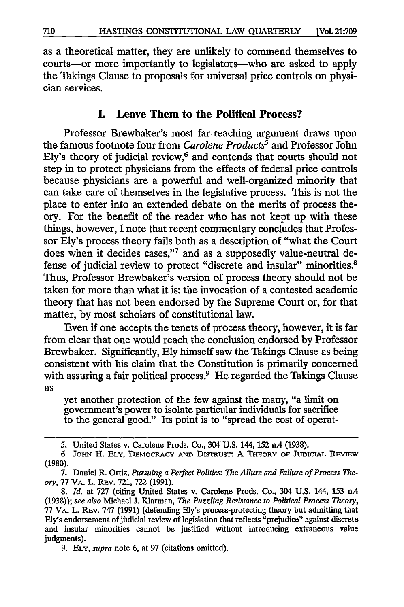as a theoretical matter, they are unlikely to commend themselves to courts-or more importantly to legislators-who are asked to apply the Takings Clause to proposals for universal price controls on physician services.

#### **I. Leave Them to the Political Process?**

Professor Brewbaker's most far-reaching argument draws upon the famous footnote four from *Carolene Products*<sup>5</sup> and Professor John Ely's theory of judicial review, $6$  and contends that courts should not step in to protect physicians from the effects of federal price controls because physicians are a powerful and well-organized minority that can take care of themselves in the legislative process. This is not the place to enter into an extended debate on the merits of process theory. For the benefit of the reader who has not kept up with these things, however, I note that recent commentary concludes that Professor Ely's process theory fails both as a description of "what the Court does when it decides cases,"7 and as a supposedly value-neutral defense of judicial review to protect "discrete and insular" minorities.<sup>8</sup> Thus, Professor Brewbaker's version of process theory should not be taken for more than what it is: the invocation of a contested academic theory that has not been endorsed by the Supreme Court or, for that matter, by most scholars of constitutional law.

Even if one accepts the tenets of process theory, however, it is far from clear that one would reach the conclusion endorsed by Professor Brewbaker. Significantly, Ely himself saw the Takings Clause as being consistent with his claim that the Constitution is primarily concerned with assuring a fair political process.<sup>9</sup> He regarded the Takings Clause as

yet another protection of the few against the many, "a limit on government's power to isolate particular individuals for sacrifice to the general good." Its point is to "spread the cost of operat-

<sup>5.</sup> United States v. Carolene Prods. Co., 304 U.S. 144, 152 *nA* (1938).

**<sup>6.</sup> JOHN H. ELY, DEMOCRACY AND DISTRUST: A THEORY OF JUDICIAL REVIEW** (1980).

<sup>7.</sup> Daniel R. Ortiz, *Pursuing a Perfect Politics: The Allure and Failure of Process Theory,* 77 VA. L. REv. 721, 722 (1991).

*<sup>8.</sup> Id.* at 727 (citing United States v. Carolene Prods. Co., 304 U.S. 144, 153 n.4 (1938)); *see also* Michael **J.** Klarman, *The Puzzling Resistance to Political Process Theory,* 77 VA. L. REv. 747 (1991) (defending Ely's process-protecting theory but admitting that Ely's endorsement of jiidicial review of legislation that reflects "prejudice" against discrete and insular minorities cannot be justified without introducing extraneous value judgments).

<sup>9.</sup> **ELY,** *supra* note 6, at 97 (citations omitted).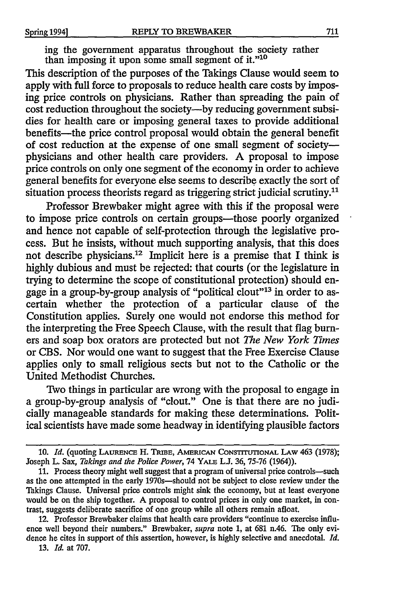ing the government apparatus throughout the society rather than imposing it upon some small segment of it."'

This description of the purposes of the Takings Clause would seem to apply with full force to proposals to reduce health care costs by imposing price controls on physicians. Rather than spreading the pain of cost reduction throughout the society---by reducing government subsidies for health care or imposing general taxes to provide additional benefits-the price control proposal would obtain the general benefit of cost reduction at the expense of one small segment of societyphysicians and other health care providers. A proposal to impose price controls on only one segment of the economy in order to achieve general benefits for everyone else seems to describe exactly the sort of situation process theorists regard as triggering strict judicial scrutiny.<sup>11</sup>

Professor Brewbaker might agree with this if the proposal were to impose price controls on certain groups—those poorly organized and hence not capable of self-protection through the legislative process. But he insists, without much supporting analysis, that this does not describe physicians.<sup>12</sup> Implicit here is a premise that I think is highly dubious and must be rejected: that courts (or the legislature in trying to determine the scope of constitutional protection) should engage in a group-by-group analysis of "political clout"<sup>13</sup> in order to ascertain whether the protection of a particular clause of the Constitution applies. Surely one would not endorse this method for the interpreting the Free Speech Clause, with the result that flag burners and soap box orators are protected but not *The New York Times* or CBS. Nor would one want to suggest that the Free Exercise Clause applies only to small religious sects but not to the Catholic or the United Methodist Churches.

Two things in particular are wrong with the proposal to engage in a group-by-group analysis of "clout." One is that there are no judicially manageable standards for making these determinations. Political scientists have made some headway in identifying plausible factors

**12.** Professor Brewbaker claims that health care providers "continue to exercise influence well beyond their numbers." Brewbaker, *supra* note **1,** at **681** n.46. The only evidence he cites in support of this assertion, however, is highly selective and anecdotal. *Id.*

**13.** *Id.* at **707.**

**<sup>10.</sup>** *Id.* (quoting LAURENCE H. TRmE, AMERICAN **CONSTITUTIONAL** LAW **463 (1978);** Joseph L. Sax, *Takings and the Police Power,* 74 YALE **L.** *36,* **75-76** (1964)).

**<sup>11.</sup>** Process theory might well suggest that a program of universal price controls-such as the one attempted in the early 1970s-should not be subject to close review under the Takings Clause. Universal price controls might sink the economy, but at least everyone would be on the ship together. A proposal to control prices in only one market, in contrast, suggests deliberate sacrifice of one group while all others remain afloat.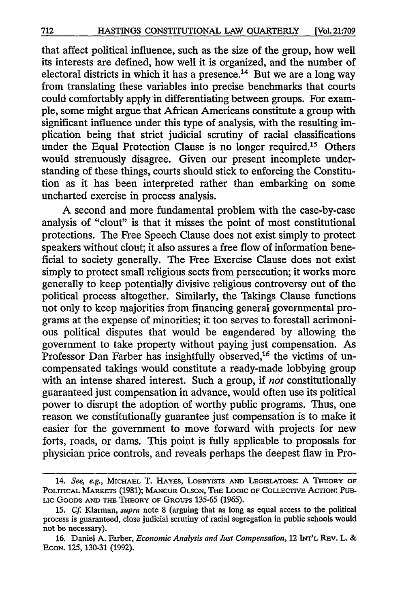that affect political influence, such as the size of the group, how well its interests are defined, how well it is organized, and the number of electoral districts in which it has a presence.<sup>14</sup> But we are a long way from translating these variables into precise benchmarks that courts could comfortably apply in differentiating between groups. For example, some might argue that African Americans constitute a group with significant influence under this type of analysis, with the resulting implication being that strict judicial scrutiny of racial classifications under the Equal Protection Clause is no longer required.<sup>15</sup> Others would strenuously disagree. Given our present incomplete understanding of these things, courts should stick to enforcing the Constitution as it has been interpreted rather than embarking on some uncharted exercise in process analysis.

A second and more fundamental problem with the case-by-case analysis of "clout" is that it misses the point of most constitutional protections. The Free Speech Clause does not exist simply to protect speakers without clout; it also assures a free flow of information beneficial to society generally. The Free Exercise Clause does not exist simply to protect small religious sects from persecution; it works more generally to keep potentially divisive religious controversy out of the political process altogether. Similarly, the Takings Clause functions not only to keep majorities from financing general governmental programs at the expense of minorities; it too serves to forestall acrimonious political disputes that would be engendered by allowing the government to take property without paying just compensation. As Professor Dan Farber has insightfully observed,<sup>16</sup> the victims of uncompensated takings would constitute a ready-made lobbying group with an intense shared interest. Such a group, if *not* constitutionally guaranteed just compensation in advance, would often use its political power to disrupt the adoption of worthy public programs. Thus, one reason we constitutionally guarantee just compensation is to make it easier for the government to move forward with projects for new forts, roads, or dams. This point is fully applicable to proposals for physician price controls, and reveals perhaps the deepest flaw in Pro-

<sup>14.</sup> *See, e.g., MICHAEL T. HAYES, LOBBYISTS AND LEGISLATORS: A THEORY OF* POLrrICAL **MARKETS** (1981); **MANCUR** OLSON, **THE LooIC** OF **COLLECrrvE** AcTION: PUB-LIC GOODS AND THE THEORY OF GROUPS 135-65 (1965).

**<sup>15.</sup>** *Cf* Klarman, *supra* note **8** (arguing that as long as equal access to the political process is guaranteed, close judicial scrutiny of racial segregation in public schools would not be necessary).

**<sup>16.</sup>** Daniel **A.** Farber, *Economic Analysis and Just Compensation,* 12 N''L REV. L. **& ECON.** 125, 130-31 (1992).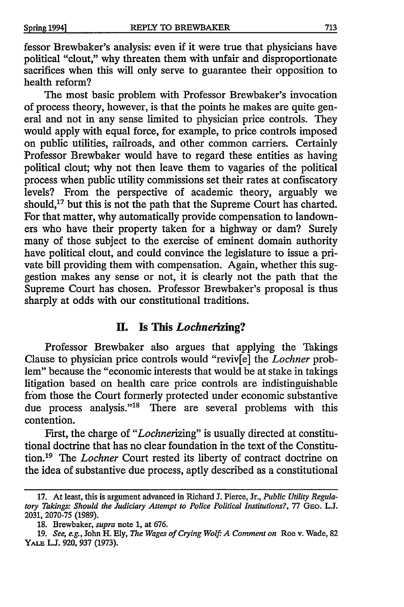fessor Brewbaker's analysis: even if it were true that physicians have political "clout," why threaten them with unfair and disproportionate sacrifices when this will only serve to guarantee their opposition to health reform?

The most basic problem with Professor Brewbaker's invocation of process theory, however, is that the points he makes are quite general and not in any sense limited to physician price controls. They would apply with equal force, for example, to price controls imposed on public utilities, railroads, and other common carriers. Certainly Professor Brewbaker would have to regard these entities as having political clout; why not then leave them to vagaries of the political process when public utility commissions set their rates at confiscatory levels? From the perspective of academic theory, arguably we should, $^{17}$  but this is not the path that the Supreme Court has charted. For that matter, why automatically provide compensation to landowners who have their property taken for a highway or dam? Surely many of those subject to the exercise of eminent domain authority have political clout, and could convince the legislature to issue a private bill providing them with compensation. Again, whether this suggestion makes any sense or not, it is clearly not the path that the Supreme Court has chosen. Professor Brewbaker's proposal is thus sharply at odds with our constitutional traditions.

#### **H. Is This** *Lochnerizing?*

Professor Brewbaker also argues that applying the Takings Clause to physician price controls would "reviv[e] the *Lochner* problem" because the "economic interests that would be at stake in takings litigation based on health care price controls are indistinguishable from those the Court formerly protected under economic substantive due process analysis."<sup>18</sup> There are several problems with this contention.

First, the charge of *"Lochnerizing"* is usually directed at constitutional doctrine that has no clear foundation in the text of the Constitution.<sup>19</sup> The *Lochner* Court rested its liberty of contract doctrine on the idea of substantive due process, aptly described as a constitutional

<sup>17.</sup> At least, this is argument advanced in Richard **J.** Pierce, Jr., *Public Utility Regulatory Takings: Should the Judiciary Attempt to Police Political Institutions?,* 77 GEo. **L.J.** 2031, 2070-75 (1989).

<sup>18.</sup> Brewbaker, *supra* note 1, at 676.

<sup>19.</sup> *See, e.g.,* John H. Ely, *The Wages of Crying Wolf. A Comment on* Roe v. Wade, 82 YALE L.J. 920, 937 (1973).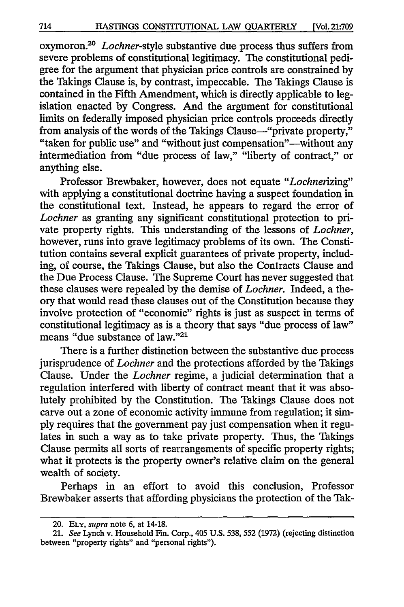oxymoron.<sup>20</sup> *Lochner*-style substantive due process thus suffers from severe problems of constitutional legitimacy. The constitutional pedigree for the argument that physician price controls are constrained **by** the Takings Clause is, **by** contrast, impeccable. The Takings Clause is contained in the Fifth Amendment, which is directly applicable to legislation enacted **by** Congress. And the argument for constitutional limits on federally imposed physician price controls proceeds directly from analysis of the words of the Takings Clause—"private property," "taken for public use" and "without just compensation"—without any intermediation from "due process of law," "liberty of contract," or anything else.

Professor Brewbaker, however, does not equate *"Lochnerizing"* with applying a constitutional doctrine having a suspect foundation in the constitutional text. Instead, he appears to regard the error of *Lochner* as granting any significant constitutional protection to private property rights. This understanding of the lessons of *Lochner,* however, runs into grave legitimacy problems of its own. The Constitution contains several explicit guarantees of private property, including, of course, the Takings Clause, but also the Contracts Clause and the Due Process Clause. The Supreme Court has never suggested that these clauses were repealed **by** the demise of *Lochner.* Indeed, a theory that would read these clauses out of the Constitution because they involve protection of "economic" rights is just as suspect in terms of constitutional legitimacy as is a theory that says "due process of law" means "due substance of law."<sup>21</sup>

There is a further distinction between the substantive due process jurisprudence of *Lochner* and the protections afforded **by** the Takings Clause. Under the *Lochner* regime, a judicial determination that a regulation interfered with liberty of contract meant that it was absolutely prohibited **by** the Constitution. The Takings Clause does not carve out a zone of economic activity immune from regulation; it sim**ply** requires that the government pay just compensation when it regulates in such a way as to take private property. Thus, the Takings Clause permits all sorts of rearrangements of specific property rights; what it protects is the property owner's relative claim on the general wealth of society.

Perhaps in an effort to avoid this conclusion, Professor Brewbaker asserts that affording physicians the protection of the Tak-

<sup>20.</sup> **ELY,** *supra* note **6,** at 14-18.

<sup>21.</sup> *See* Lynch v. Household Fin. Corp., 405 **U.S.** 538, **552 (1972)** (rejecting distinction between "property rights" and "personal rights").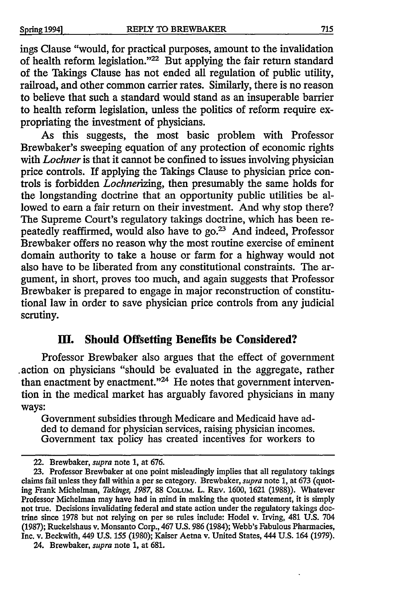ings Clause "would, for practical purposes, amount to the invalidation of health reform legislation."<sup>22</sup> But applying the fair return standard of the Takings Clause has not ended all regulation of public utility, railroad, and other common carrier rates. Similarly, there is no reason to believe that such a standard would stand as an insuperable barrier to health reform legislation, unless the politics of reform require expropriating the investment of physicians.

As this suggests, the most basic problem with Professor Brewbaker's sweeping equation of any protection of economic rights with *Lochner* is that it cannot be confined to issues involving physician price controls. If applying the Takings Clause to physician price controls is forbidden *Lochnerizing,* then presumably the same holds for the longstanding doctrine that an opportunity public utilities be allowed to earn a fair return on their investment. And why stop there? The Supreme Court's regulatory takings doctrine, which has been repeatedly reaffirmed, would also have to go.23 And indeed, Professor Brewbaker offers no reason why the most routine exercise of eminent domain authority to take a house or farm for a highway would not also have to be liberated from any constitutional constraints. The argument, in short, proves too much, and again suggests that Professor Brewbaker is prepared to engage in major reconstruction of constitutional law in order to save physician price controls from any judicial scrutiny.

### **HI. Should Offsetting Benefits be Considered?**

Professor Brewbaker also argues that the effect of government .action on physicians "should be evaluated in the aggregate, rather than enactment by enactment."<sup>24</sup> He notes that government intervention in the medical market has arguably favored physicians in many ways:

Government subsidies through Medicare and Medicaid have added to demand for physician services, raising physician incomes. Government tax policy has created incentives for workers to

<sup>22.</sup> Brewbaker, *supra* note 1, at 676.

**<sup>23.</sup>** Professor Brewbaker at one point misleadingly implies that all regulatory takings claims fail unless they fall within a per se category. Brewbaker, *supra* note 1, at 673 (quoting Frank Michelman, *Takings,* **1987,** 88 COLUM. L. REv. 1600, 1621 (1988)). Whatever Professor Michelman may have had in mind in making the quoted statement, it is simply not true. Decisions invalidating federal and state action under the regulatory takings doctrine since 1978 but not relying on per se rules include: Hodel v. Irving, 481 **U.S.** 704 (1987); Ruckelshaus v. Monsanto Corp., 467 U.S. 986 (1984); Webb's Fabulous Pharmacies, Inc. v. Beckwith, 449 U.S. 155 (1980); Kaiser Aetna v. United States, 444 U.S. 164 (1979).

<sup>24.</sup> Brewbaker, *supra* note 1, at 681.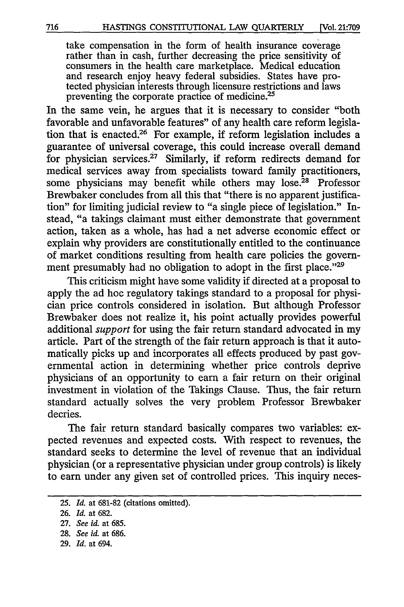take compensation in the form of health insurance coverage rather than in cash, further decreasing the price sensitivity of consumers in the health care marketplace. Medical education and research enjoy heavy federal subsidies. States have protected physician interests through licensure restrictions and laws preventing the corporate practice of medicine.<sup>25</sup>

In the same vein, he argues that it is necessary to consider "both favorable and unfavorable features" of any health care reform legislation that is enacted.26 For example, if reform legislation includes a guarantee of universal coverage, this could increase overall demand for physician services.<sup>27</sup> Similarly, if reform redirects demand for medical services away from specialists toward family practitioners, some physicians may benefit while others may lose.<sup>28</sup> Professor Brewbaker concludes from all this that "there is no apparent justification" for limiting judicial review to "a single piece of legislation." Instead, "a takings claimant must either demonstrate that government action, taken as a whole, has had a net adverse economic effect or explain why providers are constitutionally entitled to the continuance of market conditions resulting from health care policies the government presumably had no obligation to adopt in the first place."<sup>29</sup>

This criticism might have some validity if directed at a proposal to apply the ad hoc regulatory takings standard to a proposal for physician price controls considered in isolation. But although Professor Brewbaker does not realize it, his point actually provides powerful additional *support* for using the fair return standard advocated in my article. Part of the strength of the fair return approach is that it automatically picks up and incorporates all effects produced by past governmental action in determining whether price controls deprive physicians of an opportunity to earn a fair return on their original investment in violation of the Takings Clause. Thus, the fair return standard actually solves the very problem Professor Brewbaker decries.

The fair return standard basically compares two variables: expected revenues and expected costs. With respect to revenues, the standard seeks to determine the level of revenue that an individual physician (or a representative physician under group controls) is likely to earn under any given set of controlled prices. This inquiry neces-

<sup>25.</sup> *Id.* at 681-82 (citations omitted).

<sup>26.</sup> *Id.* at 682.

<sup>27.</sup> *See id.* at 685.

<sup>28.</sup> *See id.* at 686.

<sup>29.</sup> *Id.* at 694.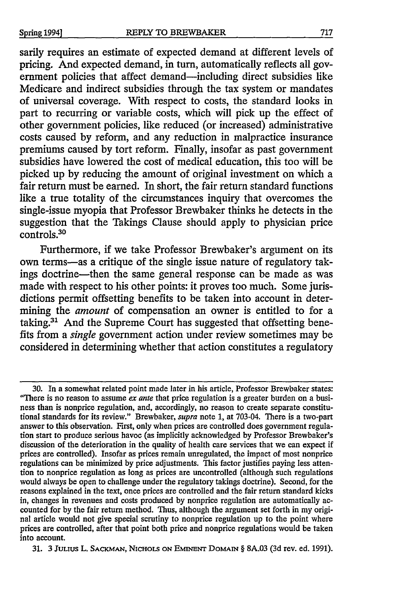sarily requires an estimate of expected demand at different levels of pricing. And expected demand, in turn, automatically reflects all government policies that affect demand—including direct subsidies like Medicare and indirect subsidies through the tax system or mandates of universal coverage. With respect to costs, the standard looks in part to recurring or variable costs, which will pick up the effect of other government policies, like reduced (or increased) administrative costs caused **by** reform, and any reduction in malpractice insurance premiums caused **by** tort reform. Finally, insofar as past government subsidies have lowered the cost of medical education, this too will be picked up **by** reducing the amount of original investment on which a fair return must be earned. In short, the fair return standard functions like a true totality of the circumstances inquiry that overcomes the single-issue myopia that Professor Brewbaker thinks he detects in the suggestion that the Takings Clause should apply to physician price controls.30

Furthermore, if we take Professor Brewbaker's argument on its own terms-as a critique of the single issue nature of regulatory takings doctrine-then the same general response can be made as was made with respect to his other points: it proves too much. Some jurisdictions permit offsetting benefits to be taken into account in determining the *amount* of compensation an owner is entitled to for a taking.<sup>31</sup> And the Supreme Court has suggested that offsetting benefits from a *single* government action under review sometimes may be considered in determining whether that action constitutes a regulatory

**31. 3 JuLius** L. **SACKMAN, NICHOLS ON EMINENT Domhir § 8A.03 (3d** rev. ed. **1991).**

**<sup>30.</sup>** In a somewhat related point made later in his article, Professor Brewbaker states: "There is no reason to assume *ex ante* that price regulation is a greater burden on a business than is nonprice regulation, and, accordingly, no reason to create separate constitutional standards for its review." Brewbaker, *supra* note **1,** at 703-04. There is a two-part answer to this observation. First, only when prices are controlled does government regulation start to produce serious havoc (as implicitly acknowledged **by** Professor Brewbaker's discussion of the deterioration in the quality of health care services that we can expect if prices are controlled). Insofar as prices remain unregulated, the impact of most nonprice regulations can be minimized **by** price adjustments. This factor justifies paying less attention to nonprice regulation as long as prices are uncontrolled (although such regulations would always be open to challenge under the regulatory takings doctrine). Second, for the reasons explained in the text, once prices are controlled and the fair return standard kicks in, changes in revenues and costs produced **by** nonprice regulation are automatically accounted for **by** the fair return method. Thus, although the argument set forth in my original article would not give special scrutiny to nonprice regulation up to the point where prices are controlled, after that point both price and nonprice regulations would be taken into account.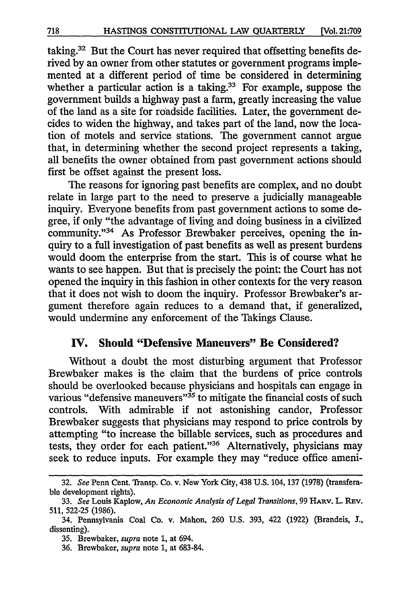taking.<sup>32</sup> But the Court has never required that offsetting benefits derived by an owner from other statutes or government programs implemented at a different period of time be considered in determining whether a particular action is a taking.<sup>33</sup> For example, suppose the government builds a highway past a farm, greatly increasing the value of the land as a site for roadside facilities. Later, the government decides to widen the highway, and takes part of the land, now the location of motels and service stations. The government cannot argue that, in determining whether the second project represents a taking, all benefits the owner obtained from past government actions should first be offset against the present loss.

The reasons for ignoring past benefits are complex, and no doubt relate in large part to the need to preserve a judicially manageable inquiry. Everyone benefits from past government actions to some degree, if only "the advantage of living and doing business in a civilized community."<sup>34</sup> As Professor Brewbaker perceives, opening the inquiry to a full investigation of past benefits as well as present burdens would doom the enterprise from the start. This is of course what he wants to see happen. But that is precisely the point: the Court has not opened the inquiry in this fashion in other contexts for the very reason that it does not wish to doom the inquiry. Professor Brewbaker's argument therefore again reduces to a demand that, if generalized, would undermine any enforcement of the Takings Clause.

#### **IV.** Should "Defensive Maneuvers" Be Considered?

Without a doubt the most disturbing argument that Professor Brewbaker makes is the claim that the burdens of price controls should be overlooked because physicians and hospitals can engage in various "defensive maneuvers"<sup>35</sup> to mitigate the financial costs of such controls. With admirable if not astonishing candor, Professor Brewbaker suggests that physicians may respond to price controls by attempting "to increase the billable services, such as procedures and tests, they order for each patient."<sup>36</sup> Alternatively, physicians may seek to reduce inputs. For example they may "reduce office ameni-

<sup>32.</sup> *See* Penn Cent. Transp. Co. v. New York City, 438 U.S. 104, 137 (1978) (transferable development rights).

<sup>33.</sup> See Louis Kaplow, *An Economic Analysis of Legal Transitions*, 99 HARV. L. REV. 511, 522-25 (1986).

<sup>34.</sup> Pennsylvania Coal Co. v. Mahon, 260 U.S. 393, 422 (1922) (Brandeis, **J.,** dissenting).

<sup>35.</sup> Brewbaker, *supra* note 1, at 694.

<sup>36.</sup> Brewbaker, *supra* note 1, at 683-84.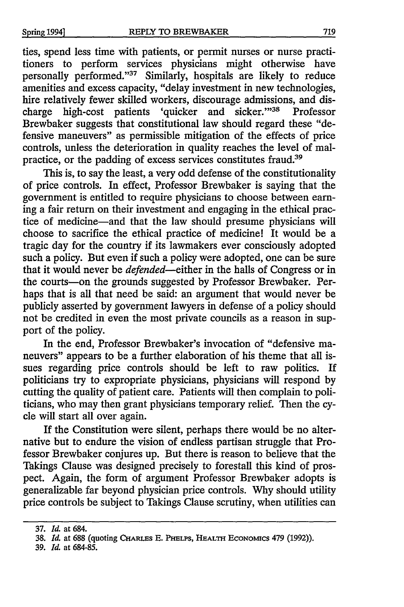ties, spend less time with patients, or permit nurses or nurse practitioners to perform services physicians might otherwise have personally performed."37 Similarly, hospitals are likely to reduce amenities and excess capacity, "delay investment in new technologies, hire relatively fewer skilled workers, discourage admissions, and discharge high-cost patients 'quicker and sicker."<sup>38</sup> Professor Brewbaker suggests that constitutional law should regard these "defensive maneuvers" as permissible mitigation of the effects of price controls, unless the deterioration in quality reaches the level of malpractice, or the padding of excess services constitutes fraud.39

This is, to say the least, a very odd defense of the constitutionality of price controls. In effect, Professor Brewbaker is saying that the government is entitled to require physicians to choose between earning a fair return on their investment and engaging in the ethical practice of medicine-and that the law should presume physicians will choose to sacrifice the ethical practice of medicine! It would be a tragic day for the country if its lawmakers ever consciously adopted such a policy. But even if such a policy were adopted, one can be sure that it would never be *defended-either* in the halls of Congress or in the courts-on the grounds suggested by Professor Brewbaker. Perhaps that is all that need be said: an argument that would never be publicly asserted by government lawyers in defense of a policy should not be credited in even the most private councils as a reason in support of the policy.

In the end, Professor Brewbaker's invocation of "defensive maneuvers" appears to be a further elaboration of his theme that all issues regarding price controls should be left to raw politics. If politicians try to expropriate physicians, physicians will respond by cutting the quality of patient care. Patients will then complain to politicians, who may then grant physicians temporary relief. Then the cycle will start all over again.

If the Constitution were silent, perhaps there would be no alternative but to endure the vision of endless partisan struggle that Professor Brewbaker conjures up. But there is reason to believe that the Takings Clause was designed precisely to forestall this kind of prospect. Again, the form of argument Professor Brewbaker adopts is generalizable far beyond physician price controls. Why should utility price controls be subject to Takings Clause scrutiny, when utilities can

39. *Id.* at 684-85.

<sup>37.</sup> *Id.* at 684.

<sup>38.</sup> *Id.* at 688 (quoting CHARLFs E. **PHELPS,** HEALTH **ECONOMICS** 479 (1992)).